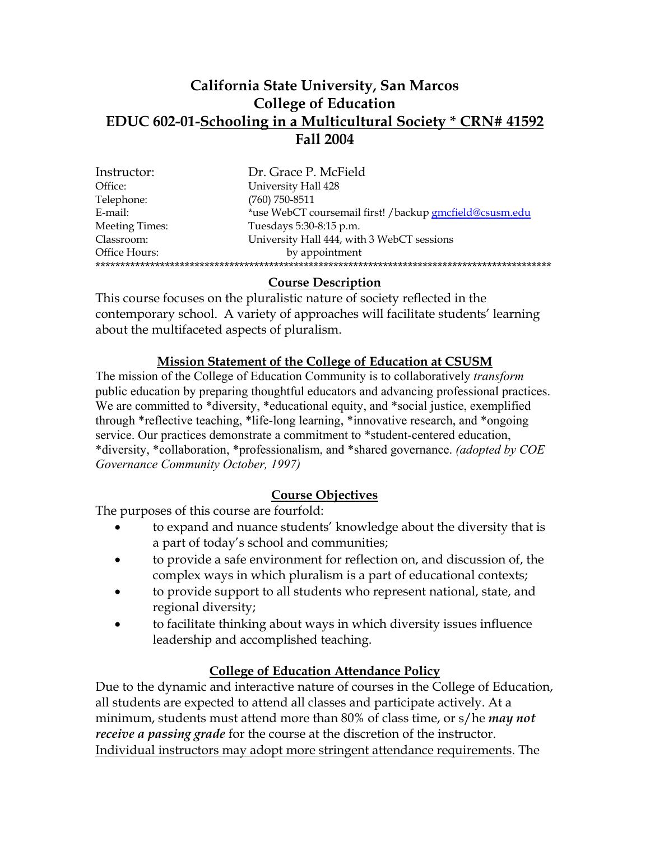## **California State University, San Marcos College of Education EDUC 602-01-Schooling in a Multicultural Society \* CRN# 41592 Fall 2004**

| Dr. Grace P. McField                                    |
|---------------------------------------------------------|
| University Hall 428                                     |
| (760) 750-8511                                          |
| *use WebCT coursemail first! /backup gmcfield@csusm.edu |
| Tuesdays 5:30-8:15 p.m.                                 |
| University Hall 444, with 3 WebCT sessions              |
| by appointment                                          |
|                                                         |
|                                                         |

### **Course Description**

This course focuses on the pluralistic nature of society reflected in the contemporary school. A variety of approaches will facilitate students' learning about the multifaceted aspects of pluralism.

### **Mission Statement of the College of Education at CSUSM**

The mission of the College of Education Community is to collaboratively *transform* public education by preparing thoughtful educators and advancing professional practices. We are committed to \*diversity, \*educational equity, and \*social justice, exemplified through \*reflective teaching, \*life-long learning, \*innovative research, and \*ongoing service. Our practices demonstrate a commitment to \*student-centered education, \*diversity, \*collaboration, \*professionalism, and \*shared governance. *(adopted by COE Governance Community October, 1997)*

### **Course Objectives**

The purposes of this course are fourfold:

- to expand and nuance students' knowledge about the diversity that is a part of today's school and communities;
- to provide a safe environment for reflection on, and discussion of, the complex ways in which pluralism is a part of educational contexts;
- to provide support to all students who represent national, state, and regional diversity;
- to facilitate thinking about ways in which diversity issues influence leadership and accomplished teaching.

### **College of Education Attendance Policy**

Due to the dynamic and interactive nature of courses in the College of Education, all students are expected to attend all classes and participate actively. At a minimum, students must attend more than 80% of class time, or s/he *may not receive a passing grade* for the course at the discretion of the instructor. Individual instructors may adopt more stringent attendance requirements. The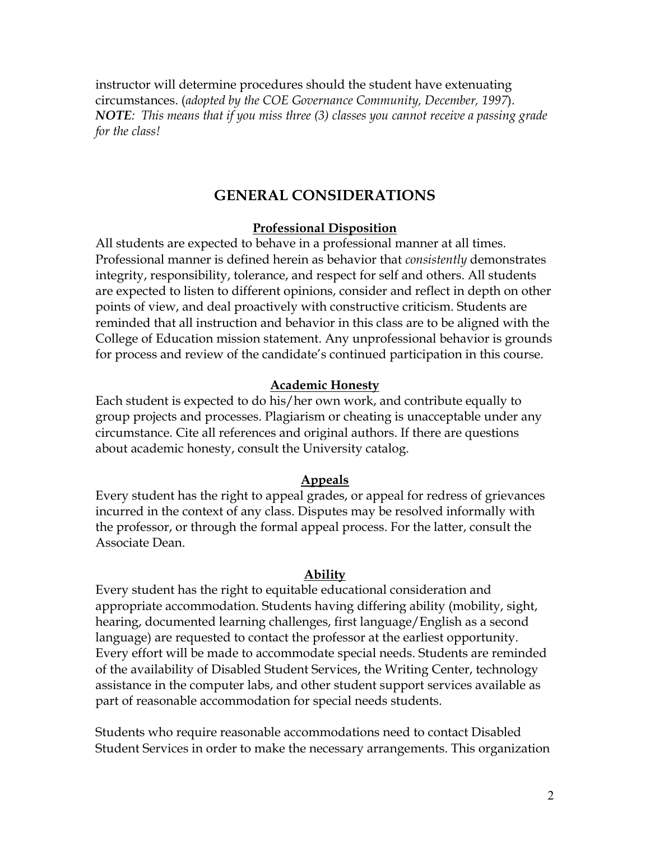instructor will determine procedures should the student have extenuating circumstances. (*adopted by the COE Governance Community, December, 1997*). *NOTE: This means that if you miss three (3) classes you cannot receive a passing grade for the class!*

### **GENERAL CONSIDERATIONS**

### **Professional Disposition**

All students are expected to behave in a professional manner at all times. Professional manner is defined herein as behavior that *consistently* demonstrates integrity, responsibility, tolerance, and respect for self and others. All students are expected to listen to different opinions, consider and reflect in depth on other points of view, and deal proactively with constructive criticism. Students are reminded that all instruction and behavior in this class are to be aligned with the College of Education mission statement. Any unprofessional behavior is grounds for process and review of the candidate's continued participation in this course.

#### **Academic Honesty**

Each student is expected to do his/her own work, and contribute equally to group projects and processes. Plagiarism or cheating is unacceptable under any circumstance. Cite all references and original authors. If there are questions about academic honesty, consult the University catalog.

#### **Appeals**

Every student has the right to appeal grades, or appeal for redress of grievances incurred in the context of any class. Disputes may be resolved informally with the professor, or through the formal appeal process. For the latter, consult the Associate Dean.

#### **Ability**

Every student has the right to equitable educational consideration and appropriate accommodation. Students having differing ability (mobility, sight, hearing, documented learning challenges, first language/English as a second language) are requested to contact the professor at the earliest opportunity. Every effort will be made to accommodate special needs. Students are reminded of the availability of Disabled Student Services, the Writing Center, technology assistance in the computer labs, and other student support services available as part of reasonable accommodation for special needs students.

Students who require reasonable accommodations need to contact Disabled Student Services in order to make the necessary arrangements. This organization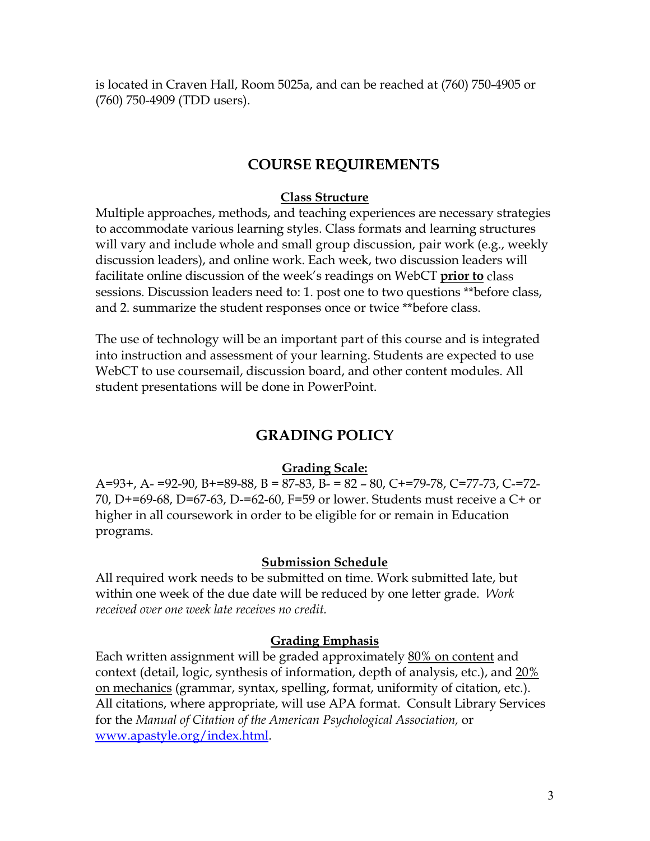is located in Craven Hall, Room 5025a, and can be reached at (760) 750-4905 or (760) 750-4909 (TDD users).

### **COURSE REQUIREMENTS**

#### **Class Structure**

Multiple approaches, methods, and teaching experiences are necessary strategies to accommodate various learning styles. Class formats and learning structures will vary and include whole and small group discussion, pair work (e.g., weekly discussion leaders), and online work. Each week, two discussion leaders will facilitate online discussion of the week's readings on WebCT **prior to** class sessions. Discussion leaders need to: 1. post one to two questions \*\* before class, and 2. summarize the student responses once or twice \*\*before class.

The use of technology will be an important part of this course and is integrated into instruction and assessment of your learning. Students are expected to use WebCT to use coursemail, discussion board, and other content modules. All student presentations will be done in PowerPoint.

### **GRADING POLICY**

#### **Grading Scale:**

A=93+, A- =92-90, B+=89-88, B = 87-83, B- = 82 – 80, C+=79-78, C=77-73, C-=72- 70, D+=69-68, D=67-63, D-=62-60, F=59 or lower. Students must receive a C+ or higher in all coursework in order to be eligible for or remain in Education programs.

#### **Submission Schedule**

All required work needs to be submitted on time. Work submitted late, but within one week of the due date will be reduced by one letter grade. *Work received over one week late receives no credit.* 

#### **Grading Emphasis**

Each written assignment will be graded approximately 80% on content and context (detail, logic, synthesis of information, depth of analysis, etc.), and 20% on mechanics (grammar, syntax, spelling, format, uniformity of citation, etc.). All citations, where appropriate, will use APA format. Consult Library Services for the *Manual of Citation of the American Psychological Association,* or www.apastyle.org/index.html.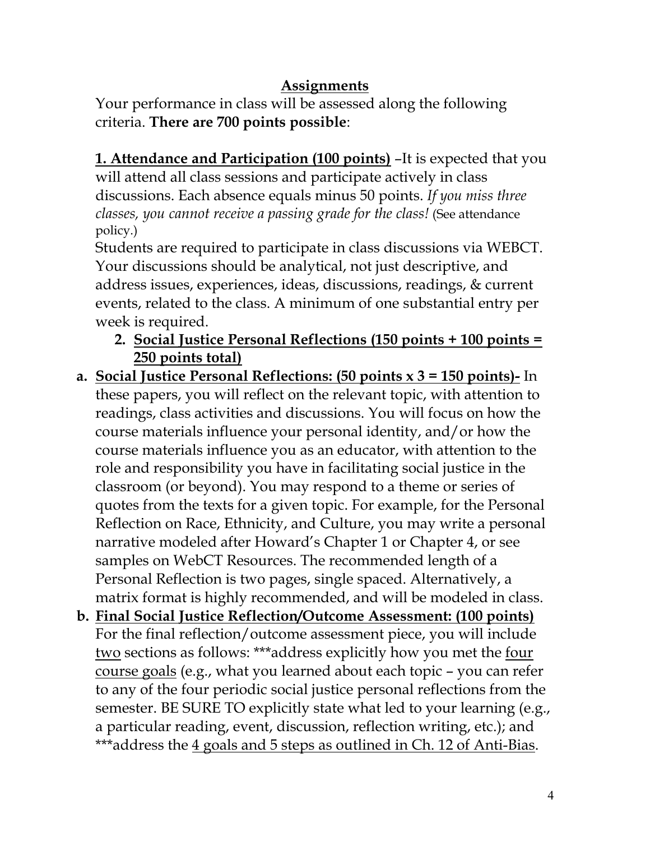# **Assignments**

Your performance in class will be assessed along the following criteria. **There are 700 points possible**:

**1. Attendance and Participation (100 points)** –It is expected that you will attend all class sessions and participate actively in class discussions. Each absence equals minus 50 points. *If you miss three classes, you cannot receive a passing grade for the class!* (See attendance policy.)

Students are required to participate in class discussions via WEBCT. Your discussions should be analytical, not just descriptive, and address issues, experiences, ideas, discussions, readings, & current events, related to the class. A minimum of one substantial entry per week is required.

- **2. Social Justice Personal Reflections (150 points + 100 points = 250 points total)**
- **a. Social Justice Personal Reflections: (50 points x 3 = 150 points)-** In these papers, you will reflect on the relevant topic, with attention to readings, class activities and discussions. You will focus on how the course materials influence your personal identity, and/or how the course materials influence you as an educator, with attention to the role and responsibility you have in facilitating social justice in the classroom (or beyond). You may respond to a theme or series of quotes from the texts for a given topic. For example, for the Personal Reflection on Race, Ethnicity, and Culture, you may write a personal narrative modeled after Howard's Chapter 1 or Chapter 4, or see samples on WebCT Resources. The recommended length of a Personal Reflection is two pages, single spaced. Alternatively, a matrix format is highly recommended, and will be modeled in class.
- **b. Final Social Justice Reflection/Outcome Assessment: (100 points)** For the final reflection/outcome assessment piece, you will include two sections as follows: \*\*\*address explicitly how you met the four course goals (e.g., what you learned about each topic – you can refer to any of the four periodic social justice personal reflections from the semester. BE SURE TO explicitly state what led to your learning (e.g., a particular reading, event, discussion, reflection writing, etc.); and \*\*\*address the 4 goals and 5 steps as outlined in Ch. 12 of Anti-Bias.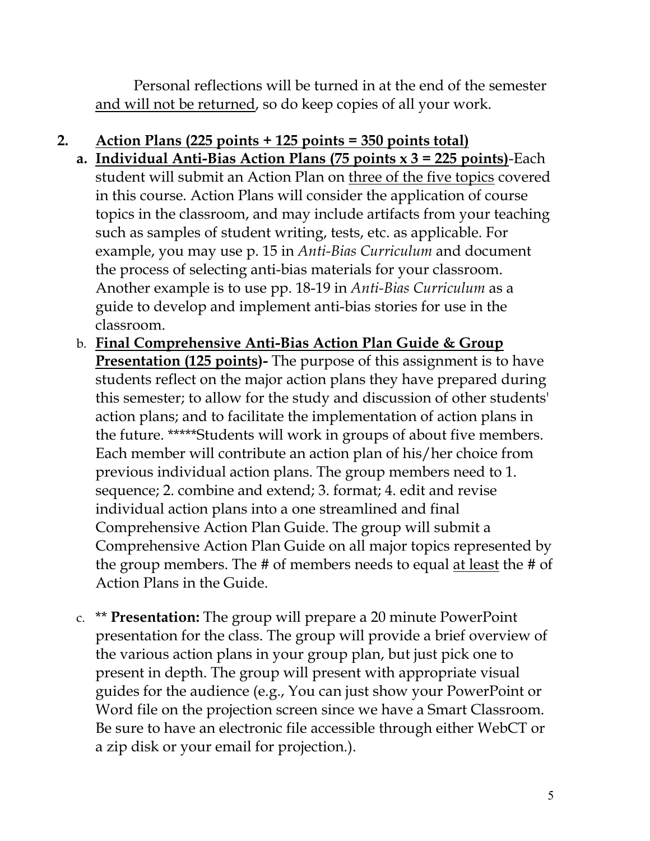Personal reflections will be turned in at the end of the semester and will not be returned, so do keep copies of all your work.

# **2. Action Plans (225 points + 125 points = 350 points total)**

- **a. Individual Anti-Bias Action Plans (75 points x 3 = 225 points)**-Each student will submit an Action Plan on three of the five topics covered in this course. Action Plans will consider the application of course topics in the classroom, and may include artifacts from your teaching such as samples of student writing, tests, etc. as applicable. For example, you may use p. 15 in *Anti-Bias Curriculum* and document the process of selecting anti-bias materials for your classroom. Another example is to use pp. 18-19 in *Anti-Bias Curriculum* as a guide to develop and implement anti-bias stories for use in the classroom.
- b. **Final Comprehensive Anti-Bias Action Plan Guide & Group Presentation (125 points)-** The purpose of this assignment is to have students reflect on the major action plans they have prepared during this semester; to allow for the study and discussion of other students' action plans; and to facilitate the implementation of action plans in the future. \*\*\*\*\*Students will work in groups of about five members. Each member will contribute an action plan of his/her choice from previous individual action plans. The group members need to 1. sequence; 2. combine and extend; 3. format; 4. edit and revise individual action plans into a one streamlined and final Comprehensive Action Plan Guide. The group will submit a Comprehensive Action Plan Guide on all major topics represented by the group members. The # of members needs to equal at least the # of Action Plans in the Guide.
- c. \*\* **Presentation:** The group will prepare a 20 minute PowerPoint presentation for the class. The group will provide a brief overview of the various action plans in your group plan, but just pick one to present in depth. The group will present with appropriate visual guides for the audience (e.g., You can just show your PowerPoint or Word file on the projection screen since we have a Smart Classroom. Be sure to have an electronic file accessible through either WebCT or a zip disk or your email for projection.).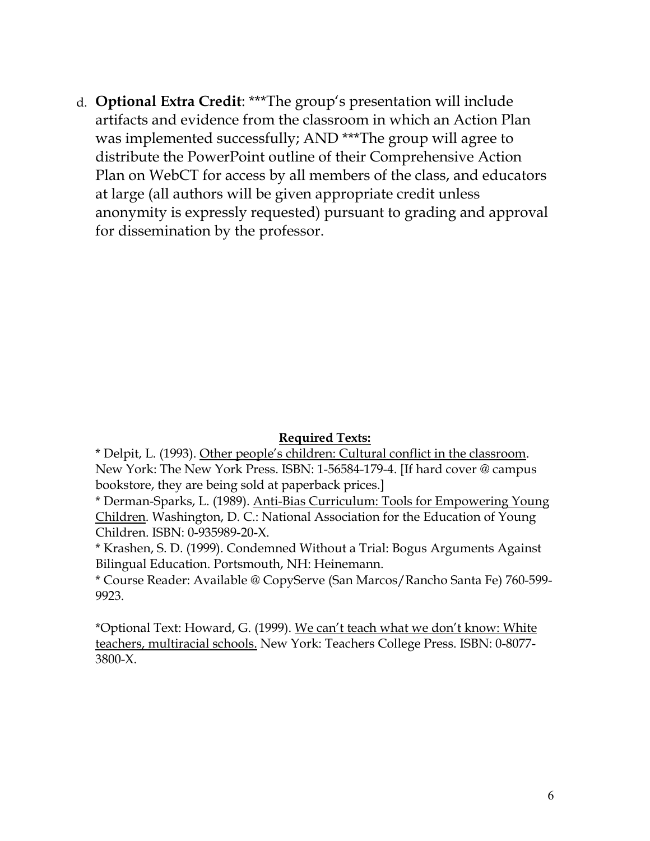d. **Optional Extra Credit**: \*\*\*The group's presentation will include artifacts and evidence from the classroom in which an Action Plan was implemented successfully; AND \*\*\*The group will agree to distribute the PowerPoint outline of their Comprehensive Action Plan on WebCT for access by all members of the class, and educators at large (all authors will be given appropriate credit unless anonymity is expressly requested) pursuant to grading and approval for dissemination by the professor.

### **Required Texts:**

\* Delpit, L. (1993). Other people's children: Cultural conflict in the classroom. New York: The New York Press. ISBN: 1-56584-179-4. [If hard cover @ campus bookstore, they are being sold at paperback prices.]

\* Derman-Sparks, L. (1989). Anti-Bias Curriculum: Tools for Empowering Young Children. Washington, D. C.: National Association for the Education of Young Children. ISBN: 0-935989-20-X.

\* Krashen, S. D. (1999). Condemned Without a Trial: Bogus Arguments Against Bilingual Education. Portsmouth, NH: Heinemann.

\* Course Reader: Available @ CopyServe (San Marcos/Rancho Santa Fe) 760-599- 9923.

\*Optional Text: Howard, G. (1999). We can't teach what we don't know: White teachers, multiracial schools. New York: Teachers College Press. ISBN: 0-8077- 3800-X.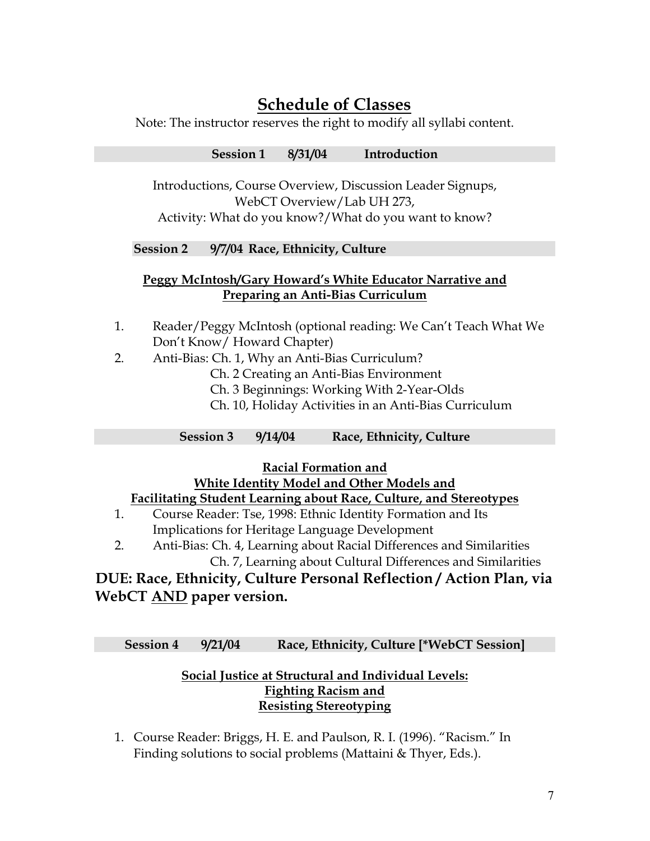# **Schedule of Classes**

Note: The instructor reserves the right to modify all syllabi content.

**Session 1 8/31/04 Introduction** 

Introductions, Course Overview, Discussion Leader Signups, WebCT Overview/Lab UH 273, Activity: What do you know?/What do you want to know?

### **Session 2 9/7/04 Race, Ethnicity, Culture**

### **Peggy McIntosh/Gary Howard's White Educator Narrative and Preparing an Anti-Bias Curriculum**

- 1. Reader/Peggy McIntosh (optional reading: We Can't Teach What We Don't Know/ Howard Chapter)
- 2. Anti-Bias: Ch. 1, Why an Anti-Bias Curriculum?
	- Ch. 2 Creating an Anti-Bias Environment
	- Ch. 3 Beginnings: Working With 2-Year-Olds
	- Ch. 10, Holiday Activities in an Anti-Bias Curriculum
	- **Session 3 9/14/04 Race, Ethnicity, Culture**

**Racial Formation and**

## **White Identity Model and Other Models and**

### **Facilitating Student Learning about Race, Culture, and Stereotypes**

- 1. Course Reader: Tse, 1998: Ethnic Identity Formation and Its Implications for Heritage Language Development
- 2. Anti-Bias: Ch. 4, Learning about Racial Differences and Similarities Ch. 7, Learning about Cultural Differences and Similarities

## **DUE: Race, Ethnicity, Culture Personal Reflection / Action Plan, via WebCT AND paper version.**

**Session 4 9/21/04 Race, Ethnicity, Culture [\*WebCT Session]** 

### **Social Justice at Structural and Individual Levels: Fighting Racism and Resisting Stereotyping**

1. Course Reader: Briggs, H. E. and Paulson, R. I. (1996). "Racism." In Finding solutions to social problems (Mattaini & Thyer, Eds.).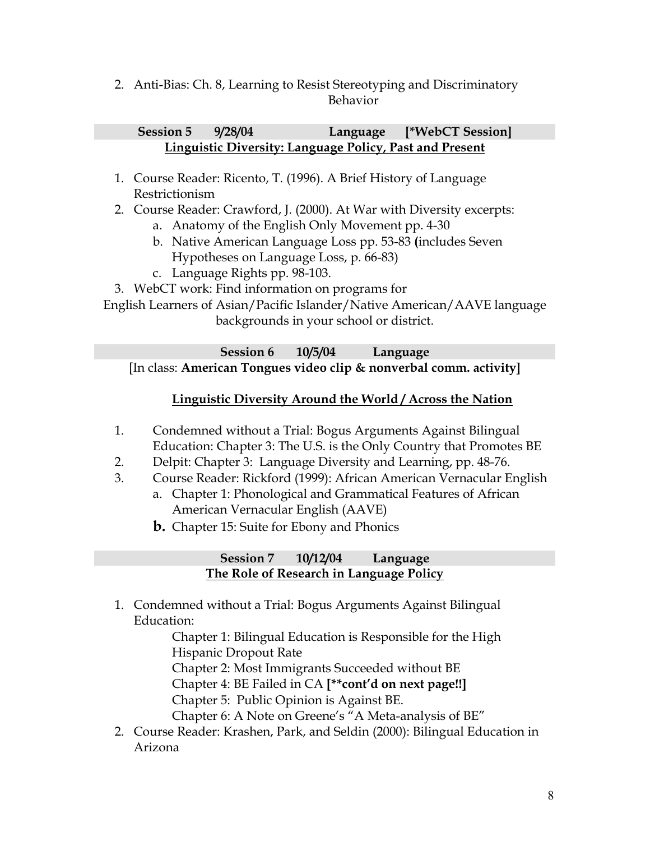2. Anti-Bias: Ch. 8, Learning to Resist Stereotyping and Discriminatory Behavior

### **Session 5 9/28/04 Language [\*WebCT Session] Linguistic Diversity: Language Policy, Past and Present**

- 1. Course Reader: Ricento, T. (1996). A Brief History of Language Restrictionism
- 2. Course Reader: Crawford, J. (2000). At War with Diversity excerpts:
	- a. Anatomy of the English Only Movement pp. 4-30
	- b. Native American Language Loss pp. 53-83 **(**includes Seven Hypotheses on Language Loss, p. 66-83)
	- c. Language Rights pp. 98-103.

3. WebCT work: Find information on programs for

English Learners of Asian/Pacific Islander/Native American/AAVE language backgrounds in your school or district.

**Session 6 10/5/04 Language**  [In class: **American Tongues video clip & nonverbal comm. activity]** 

### **Linguistic Diversity Around the World / Across the Nation**

- 1. Condemned without a Trial: Bogus Arguments Against Bilingual Education: Chapter 3: The U.S. is the Only Country that Promotes BE
- 2. Delpit: Chapter 3: Language Diversity and Learning, pp. 48-76.
- 3. Course Reader: Rickford (1999): African American Vernacular English
	- a. Chapter 1: Phonological and Grammatical Features of African American Vernacular English (AAVE)
	- **b.** Chapter 15: Suite for Ebony and Phonics

### **Session 7 10/12/04 Language The Role of Research in Language Policy**

1. Condemned without a Trial: Bogus Arguments Against Bilingual Education:

Chapter 1: Bilingual Education is Responsible for the High Hispanic Dropout Rate

Chapter 2: Most Immigrants Succeeded without BE

Chapter 4: BE Failed in CA **[\*\*cont'd on next page!!]**

Chapter 5: Public Opinion is Against BE.

Chapter 6: A Note on Greene's "A Meta-analysis of BE"

2. Course Reader: Krashen, Park, and Seldin (2000): Bilingual Education in Arizona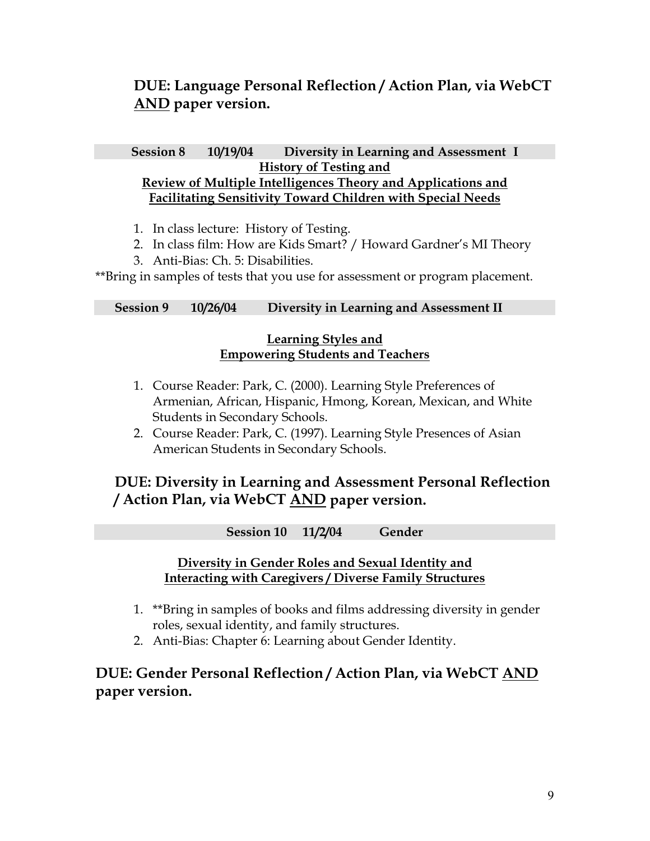## **DUE: Language Personal Reflection / Action Plan, via WebCT AND paper version.**

### **Session 8 10/19/04 Diversity in Learning and Assessment I History of Testing and Review of Multiple Intelligences Theory and Applications and Facilitating Sensitivity Toward Children with Special Needs**

- 1. In class lecture: History of Testing.
- 2. In class film: How are Kids Smart? / Howard Gardner's MI Theory
- 3. Anti-Bias: Ch. 5: Disabilities.

\*\*Bring in samples of tests that you use for assessment or program placement.

### **Session 9 10/26/04 Diversity in Learning and Assessment II**

### **Learning Styles and Empowering Students and Teachers**

- 1. Course Reader: Park, C. (2000). Learning Style Preferences of Armenian, African, Hispanic, Hmong, Korean, Mexican, and White Students in Secondary Schools.
- 2. Course Reader: Park, C. (1997). Learning Style Presences of Asian American Students in Secondary Schools.

## **DUE: Diversity in Learning and Assessment Personal Reflection / Action Plan, via WebCT AND paper version.**

**Session 10 11/2/04 Gender** 

### **Diversity in Gender Roles and Sexual Identity and Interacting with Caregivers / Diverse Family Structures**

- 1. \*\*Bring in samples of books and films addressing diversity in gender roles, sexual identity, and family structures.
- 2. Anti-Bias: Chapter 6: Learning about Gender Identity.

## **DUE: Gender Personal Reflection / Action Plan, via WebCT AND paper version.**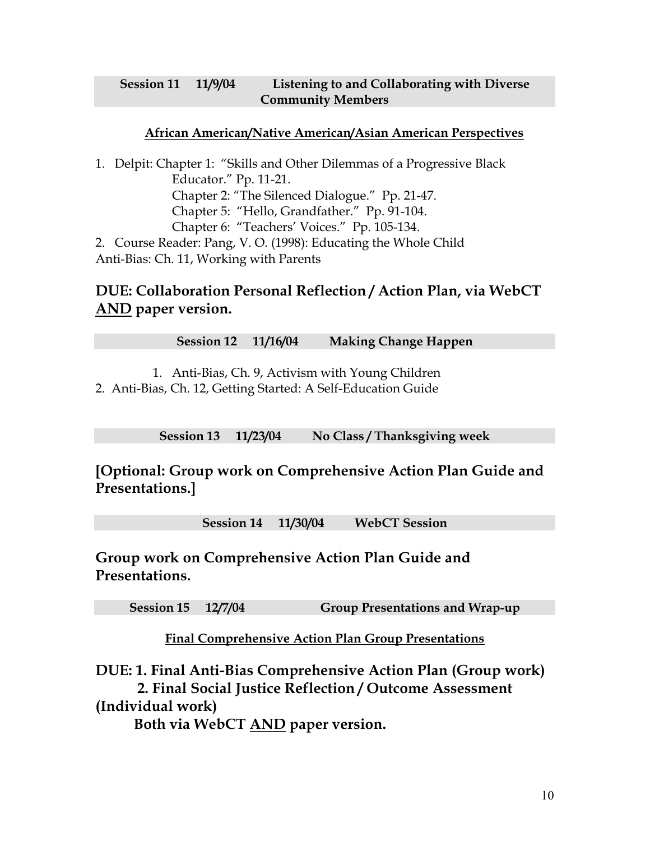### **Session 11 11/9/04 Listening to and Collaborating with Diverse Community Members**

### **African American/Native American/Asian American Perspectives**

1. Delpit: Chapter 1: "Skills and Other Dilemmas of a Progressive Black Educator." Pp. 11-21. Chapter 2: "The Silenced Dialogue." Pp. 21-47. Chapter 5: "Hello, Grandfather." Pp. 91-104. Chapter 6: "Teachers' Voices." Pp. 105-134. 2. Course Reader: Pang, V. O. (1998): Educating the Whole Child Anti-Bias: Ch. 11, Working with Parents

## **DUE: Collaboration Personal Reflection / Action Plan, via WebCT AND paper version.**

**Session 12 11/16/04 Making Change Happen** 

1. Anti-Bias, Ch. 9, Activism with Young Children 2. Anti-Bias, Ch. 12, Getting Started: A Self-Education Guide

**Session 13 11/23/04 No Class / Thanksgiving week** 

**[Optional: Group work on Comprehensive Action Plan Guide and Presentations.]** 

**Session 14 11/30/04 WebCT Session** 

**Group work on Comprehensive Action Plan Guide and Presentations.** 

**Session 15 12/7/04 Group Presentations and Wrap-up** 

**Final Comprehensive Action Plan Group Presentations**

**DUE: 1. Final Anti-Bias Comprehensive Action Plan (Group work) 2. Final Social Justice Reflection / Outcome Assessment (Individual work)** 

**Both via WebCT AND paper version.**